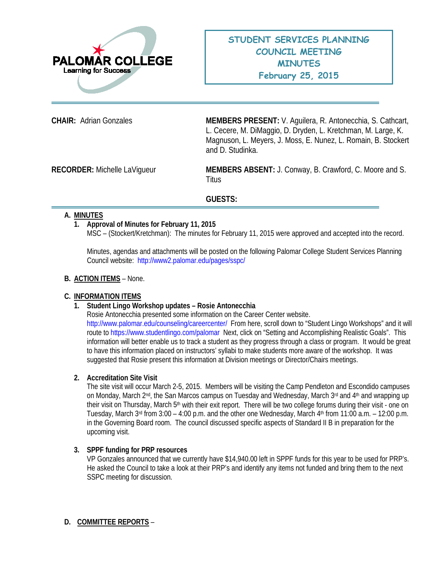

**CHAIR:** Adrian Gonzales **MEMBERS PRESENT:** V. Aguilera, R. Antonecchia, S. Cathcart, L. Cecere, M. DiMaggio, D. Dryden, L. Kretchman, M. Large, K. Magnuson, L. Meyers, J. Moss, E. Nunez, L. Romain, B. Stockert and D. Studinka.

**RECORDER:** Michelle LaVigueur **MEMBERS ABSENT:** J. Conway, B. Crawford, C. Moore and S. Titus

# **GUESTS:**

#### **A. MINUTES**

## **1. Approval of Minutes for February 11, 2015**

MSC – (Stockert/Kretchman): The minutes for February 11, 2015 were approved and accepted into the record.

Minutes, agendas and attachments will be posted on the following Palomar College Student Services Planning Council website: <http://www2.palomar.edu/pages/sspc/>

#### **B. ACTION ITEMS** – None.

## **C. INFORMATION ITEMS**

## **1. Student Lingo Workshop updates – Rosie Antonecchia**

Rosie Antonecchia presented some information on the Career Center website. <http://www.palomar.edu/counseling/careercenter/>From here, scroll down to "Student Lingo Workshops" and it will route t[o https://www.studentlingo.com/palomar](https://www.studentlingo.com/palomar) Next, click on "Setting and Accomplishing Realistic Goals". This information will better enable us to track a student as they progress through a class or program. It would be great to have this information placed on instructors' syllabi to make students more aware of the workshop. It was suggested that Rosie present this information at Division meetings or Director/Chairs meetings.

#### **2. Accreditation Site Visit**

The site visit will occur March 2-5, 2015. Members will be visiting the Camp Pendleton and Escondido campuses on Monday, March 2<sup>nd</sup>, the San Marcos campus on Tuesday and Wednesday, March 3<sup>rd</sup> and 4<sup>th</sup> and wrapping up their visit on Thursday, March 5<sup>th</sup> with their exit report. There will be two college forums during their visit - one on Tuesday, March  $3^{rd}$  from  $3:00 - 4:00$  p.m. and the other one Wednesday, March  $4^{th}$  from 11:00 a.m.  $- 12:00$  p.m. in the Governing Board room. The council discussed specific aspects of Standard II B in preparation for the upcoming visit.

#### **3. SPPF funding for PRP resources**

VP Gonzales announced that we currently have \$14,940.00 left in SPPF funds for this year to be used for PRP's. He asked the Council to take a look at their PRP's and identify any items not funded and bring them to the next SSPC meeting for discussion.

## **D. COMMITTEE REPORTS** –